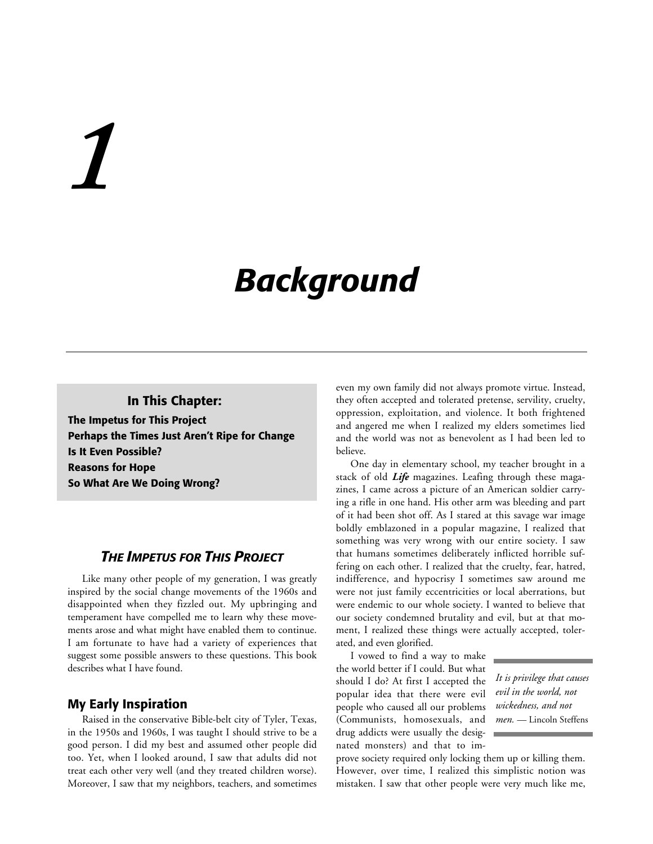# *1*

## *Background*

#### **In This Chapter:**

**The Impetus for This Project Perhaps the Times Just Aren't Ripe for Change Is It Even Possible? Reasons for Hope So What Are We Doing Wrong?**

#### *THE IMPETUS FOR THIS PROJECT*

Like many other people of my generation, I was greatly inspired by the social change movements of the 1960s and disappointed when they fizzled out. My upbringing and temperament have compelled me to learn why these movements arose and what might have enabled them to continue. I am fortunate to have had a variety of experiences that suggest some possible answers to these questions. This book describes what I have found.

#### **My Early Inspiration**

Raised in the conservative Bible-belt city of Tyler, Texas, in the 1950s and 1960s, I was taught I should strive to be a good person. I did my best and assumed other people did too. Yet, when I looked around, I saw that adults did not treat each other very well (and they treated children worse). Moreover, I saw that my neighbors, teachers, and sometimes even my own family did not always promote virtue. Instead, they often accepted and tolerated pretense, servility, cruelty, oppression, exploitation, and violence. It both frightened and angered me when I realized my elders sometimes lied and the world was not as benevolent as I had been led to believe.

One day in elementary school, my teacher brought in a stack of old *Life* magazines. Leafing through these magazines, I came across a picture of an American soldier carrying a rifle in one hand. His other arm was bleeding and part of it had been shot off. As I stared at this savage war image boldly emblazoned in a popular magazine, I realized that something was very wrong with our entire society. I saw that humans sometimes deliberately inflicted horrible suffering on each other. I realized that the cruelty, fear, hatred, indifference, and hypocrisy I sometimes saw around me were not just family eccentricities or local aberrations, but were endemic to our whole society. I wanted to believe that our society condemned brutality and evil, but at that moment, I realized these things were actually accepted, tolerated, and even glorified.

I vowed to find a way to make the world better if I could. But what should I do? At first I accepted the popular idea that there were evil people who caused all our problems (Communists, homosexuals, and drug addicts were usually the designated monsters) and that to im-

*It is privilege that causes evil in the world, not wickedness, and not men.* — Lincoln Steffens

prove society required only locking them up or killing them. However, over time, I realized this simplistic notion was mistaken. I saw that other people were very much like me,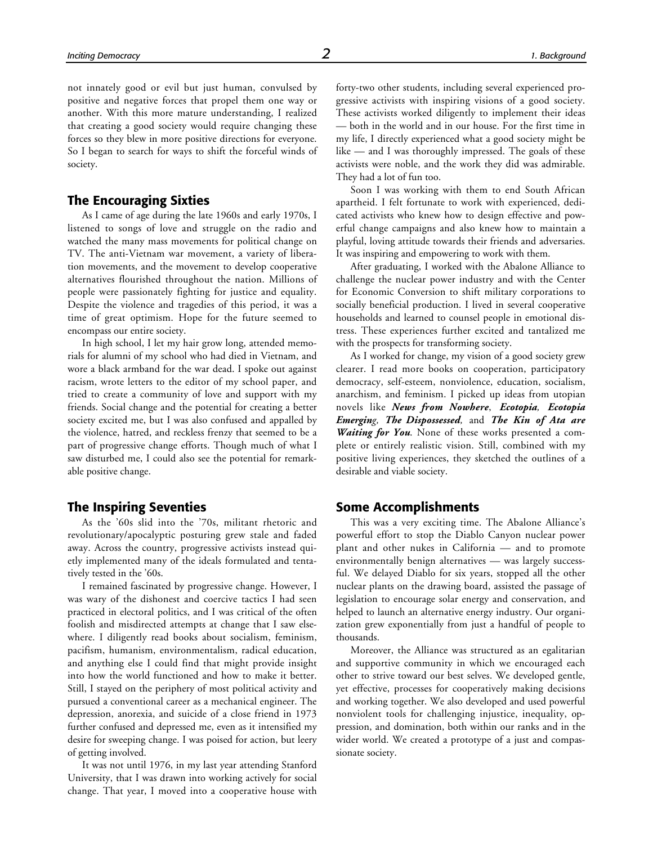not innately good or evil but just human, convulsed by positive and negative forces that propel them one way or another. With this more mature understanding, I realized that creating a good society would require changing these forces so they blew in more positive directions for everyone. So I began to search for ways to shift the forceful winds of society.

#### **The Encouraging Sixties**

As I came of age during the late 1960s and early 1970s, I listened to songs of love and struggle on the radio and watched the many mass movements for political change on TV. The anti-Vietnam war movement, a variety of liberation movements, and the movement to develop cooperative alternatives flourished throughout the nation. Millions of people were passionately fighting for justice and equality. Despite the violence and tragedies of this period, it was a time of great optimism. Hope for the future seemed to encompass our entire society.

In high school, I let my hair grow long, attended memorials for alumni of my school who had died in Vietnam, and wore a black armband for the war dead. I spoke out against racism, wrote letters to the editor of my school paper, and tried to create a community of love and support with my friends. Social change and the potential for creating a better society excited me, but I was also confused and appalled by the violence, hatred, and reckless frenzy that seemed to be a part of progressive change efforts. Though much of what I saw disturbed me, I could also see the potential for remarkable positive change.

#### **The Inspiring Seventies**

As the '60s slid into the '70s, militant rhetoric and revolutionary/apocalyptic posturing grew stale and faded away. Across the country, progressive activists instead quietly implemented many of the ideals formulated and tentatively tested in the '60s.

I remained fascinated by progressive change. However, I was wary of the dishonest and coercive tactics I had seen practiced in electoral politics, and I was critical of the often foolish and misdirected attempts at change that I saw elsewhere. I diligently read books about socialism, feminism, pacifism, humanism, environmentalism, radical education, and anything else I could find that might provide insight into how the world functioned and how to make it better. Still, I stayed on the periphery of most political activity and pursued a conventional career as a mechanical engineer. The depression, anorexia, and suicide of a close friend in 1973 further confused and depressed me, even as it intensified my desire for sweeping change. I was poised for action, but leery of getting involved.

It was not until 1976, in my last year attending Stanford University, that I was drawn into working actively for social change. That year, I moved into a cooperative house with forty-two other students, including several experienced progressive activists with inspiring visions of a good society. These activists worked diligently to implement their ideas — both in the world and in our house. For the first time in my life, I directly experienced what a good society might be like — and I was thoroughly impressed. The goals of these activists were noble, and the work they did was admirable. They had a lot of fun too.

Soon I was working with them to end South African apartheid. I felt fortunate to work with experienced, dedicated activists who knew how to design effective and powerful change campaigns and also knew how to maintain a playful, loving attitude towards their friends and adversaries. It was inspiring and empowering to work with them.

After graduating, I worked with the Abalone Alliance to challenge the nuclear power industry and with the Center for Economic Conversion to shift military corporations to socially beneficial production. I lived in several cooperative households and learned to counsel people in emotional distress. These experiences further excited and tantalized me with the prospects for transforming society.

As I worked for change, my vision of a good society grew clearer. I read more books on cooperation, participatory democracy, self-esteem, nonviolence, education, socialism, anarchism, and feminism. I picked up ideas from utopian novels like *News from Nowhere*, *Ecotopia, Ecotopia Emerging, The Dispossessed,* and *The Kin of Ata are Waiting for You*. None of these works presented a complete or entirely realistic vision. Still, combined with my positive living experiences, they sketched the outlines of a desirable and viable society.

#### **Some Accomplishments**

This was a very exciting time. The Abalone Alliance's powerful effort to stop the Diablo Canyon nuclear power plant and other nukes in California — and to promote environmentally benign alternatives — was largely successful. We delayed Diablo for six years, stopped all the other nuclear plants on the drawing board, assisted the passage of legislation to encourage solar energy and conservation, and helped to launch an alternative energy industry. Our organization grew exponentially from just a handful of people to thousands.

Moreover, the Alliance was structured as an egalitarian and supportive community in which we encouraged each other to strive toward our best selves. We developed gentle, yet effective, processes for cooperatively making decisions and working together. We also developed and used powerful nonviolent tools for challenging injustice, inequality, oppression, and domination, both within our ranks and in the wider world. We created a prototype of a just and compassionate society.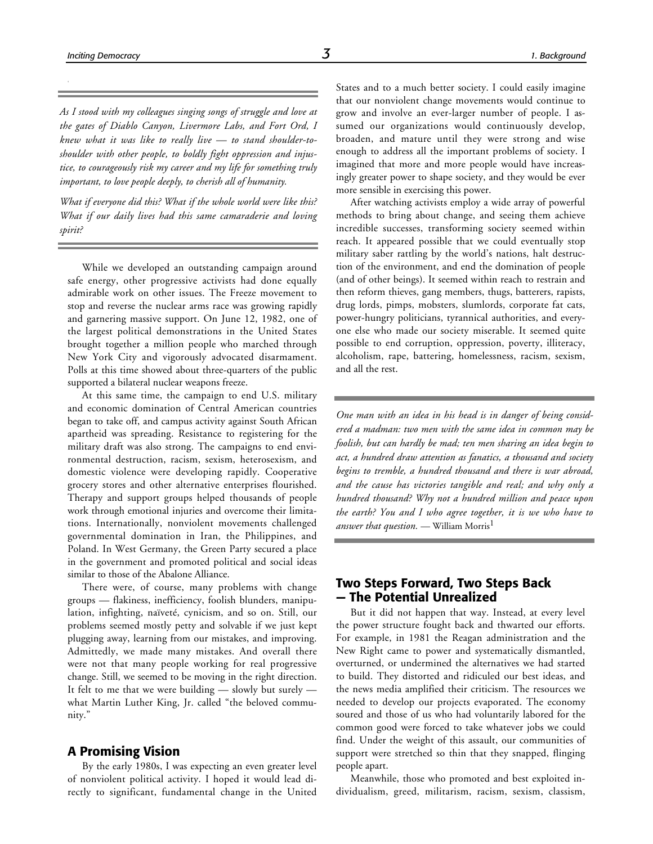*As I stood with my colleagues singing songs of struggle and love at the gates of Diablo Canyon, Livermore Labs, and Fort Ord, I knew what it was like to really live — to stand shoulder-toshoulder with other people, to boldly fight oppression and injustice, to courageously risk my career and my life for something truly important, to love people deeply, to cherish all of humanity.*

*What if everyone did this? What if the whole world were like this? What if our daily lives had this same camaraderie and loving spirit?*

While we developed an outstanding campaign around safe energy, other progressive activists had done equally admirable work on other issues. The Freeze movement to stop and reverse the nuclear arms race was growing rapidly and garnering massive support. On June 12, 1982, one of the largest political demonstrations in the United States brought together a million people who marched through New York City and vigorously advocated disarmament. Polls at this time showed about three-quarters of the public supported a bilateral nuclear weapons freeze.

At this same time, the campaign to end U.S. military and economic domination of Central American countries began to take off, and campus activity against South African apartheid was spreading. Resistance to registering for the military draft was also strong. The campaigns to end environmental destruction, racism, sexism, heterosexism, and domestic violence were developing rapidly. Cooperative grocery stores and other alternative enterprises flourished. Therapy and support groups helped thousands of people work through emotional injuries and overcome their limitations. Internationally, nonviolent movements challenged governmental domination in Iran, the Philippines, and Poland. In West Germany, the Green Party secured a place in the government and promoted political and social ideas similar to those of the Abalone Alliance.

There were, of course, many problems with change groups — flakiness, inefficiency, foolish blunders, manipulation, infighting, naïveté, cynicism, and so on. Still, our problems seemed mostly petty and solvable if we just kept plugging away, learning from our mistakes, and improving. Admittedly, we made many mistakes. And overall there were not that many people working for real progressive change. Still, we seemed to be moving in the right direction. It felt to me that we were building — slowly but surely what Martin Luther King, Jr. called "the beloved community."

#### **A Promising Vision**

By the early 1980s, I was expecting an even greater level of nonviolent political activity. I hoped it would lead directly to significant, fundamental change in the United that our nonviolent change movements would continue to grow and involve an ever-larger number of people. I assumed our organizations would continuously develop, broaden, and mature until they were strong and wise enough to address all the important problems of society. I imagined that more and more people would have increasingly greater power to shape society, and they would be ever more sensible in exercising this power.

After watching activists employ a wide array of powerful methods to bring about change, and seeing them achieve incredible successes, transforming society seemed within reach. It appeared possible that we could eventually stop military saber rattling by the world's nations, halt destruction of the environment, and end the domination of people (and of other beings). It seemed within reach to restrain and then reform thieves, gang members, thugs, batterers, rapists, drug lords, pimps, mobsters, slumlords, corporate fat cats, power-hungry politicians, tyrannical authorities, and everyone else who made our society miserable. It seemed quite possible to end corruption, oppression, poverty, illiteracy, alcoholism, rape, battering, homelessness, racism, sexism, and all the rest.

*One man with an idea in his head is in danger of being considered a madman: two men with the same idea in common may be foolish, but can hardly be mad; ten men sharing an idea begin to act, a hundred draw attention as fanatics, a thousand and society begins to tremble, a hundred thousand and there is war abroad, and the cause has victories tangible and real; and why only a hundred thousand? Why not a hundred million and peace upon the earth? You and I who agree together, it is we who have to answer that question.* — William Morris<sup>1</sup>

#### **Two Steps Forward, Two Steps Back — The Potential Unrealized**

But it did not happen that way. Instead, at every level the power structure fought back and thwarted our efforts. For example, in 1981 the Reagan administration and the New Right came to power and systematically dismantled, overturned, or undermined the alternatives we had started to build. They distorted and ridiculed our best ideas, and the news media amplified their criticism. The resources we needed to develop our projects evaporated. The economy soured and those of us who had voluntarily labored for the common good were forced to take whatever jobs we could find. Under the weight of this assault, our communities of support were stretched so thin that they snapped, flinging people apart.

Meanwhile, those who promoted and best exploited individualism, greed, militarism, racism, sexism, classism,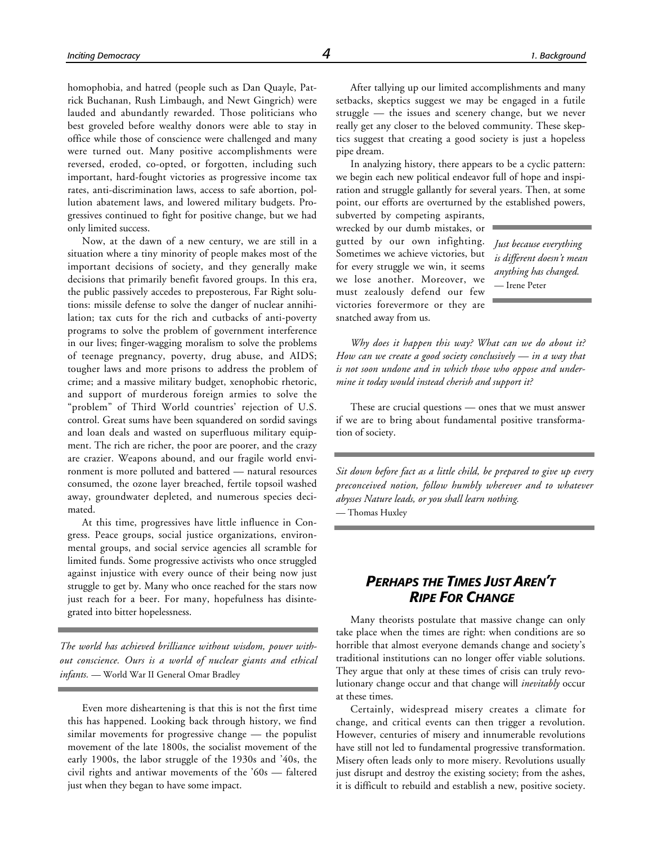lauded and abundantly rewarded. Those politicians who best groveled before wealthy donors were able to stay in office while those of conscience were challenged and many were turned out. Many positive accomplishments were reversed, eroded, co-opted, or forgotten, including such important, hard-fought victories as progressive income tax rates, anti-discrimination laws, access to safe abortion, pollution abatement laws, and lowered military budgets. Progressives continued to fight for positive change, but we had only limited success.

Now, at the dawn of a new century, we are still in a situation where a tiny minority of people makes most of the important decisions of society, and they generally make decisions that primarily benefit favored groups. In this era, the public passively accedes to preposterous, Far Right solutions: missile defense to solve the danger of nuclear annihilation; tax cuts for the rich and cutbacks of anti-poverty programs to solve the problem of government interference in our lives; finger-wagging moralism to solve the problems of teenage pregnancy, poverty, drug abuse, and AIDS; tougher laws and more prisons to address the problem of crime; and a massive military budget, xenophobic rhetoric, and support of murderous foreign armies to solve the "problem" of Third World countries' rejection of U.S. control. Great sums have been squandered on sordid savings and loan deals and wasted on superfluous military equipment. The rich are richer, the poor are poorer, and the crazy are crazier. Weapons abound, and our fragile world environment is more polluted and battered — natural resources consumed, the ozone layer breached, fertile topsoil washed away, groundwater depleted, and numerous species decimated.

At this time, progressives have little influence in Congress. Peace groups, social justice organizations, environmental groups, and social service agencies all scramble for limited funds. Some progressive activists who once struggled against injustice with every ounce of their being now just struggle to get by. Many who once reached for the stars now just reach for a beer. For many, hopefulness has disintegrated into bitter hopelessness.

*The world has achieved brilliance without wisdom, power without conscience. Ours is a world of nuclear giants and ethical infants.* — World War II General Omar Bradley

Even more disheartening is that this is not the first time this has happened. Looking back through history, we find similar movements for progressive change — the populist movement of the late 1800s, the socialist movement of the early 1900s, the labor struggle of the 1930s and '40s, the civil rights and antiwar movements of the '60s — faltered just when they began to have some impact.

After tallying up our limited accomplishments and many setbacks, skeptics suggest we may be engaged in a futile struggle — the issues and scenery change, but we never really get any closer to the beloved community. These skeptics suggest that creating a good society is just a hopeless pipe dream.

In analyzing history, there appears to be a cyclic pattern: we begin each new political endeavor full of hope and inspiration and struggle gallantly for several years. Then, at some point, our efforts are overturned by the established powers,

subverted by competing aspirants, wrecked by our dumb mistakes, or gutted by our own infighting. Sometimes we achieve victories, but for every struggle we win, it seems we lose another. Moreover, we must zealously defend our few victories forevermore or they are snatched away from us.

*Just because everything is different doesn't mean anything has changed.* — Irene Peter

*Why does it happen this way? What can we do about it? How can we create a good society conclusively — in a way that is not soon undone and in which those who oppose and undermine it today would instead cherish and support it?*

These are crucial questions — ones that we must answer if we are to bring about fundamental positive transformation of society.

*Sit down before fact as a little child, be prepared to give up every preconceived notion, follow humbly wherever and to whatever abysses Nature leads, or you shall learn nothing.* — Thomas Huxley

#### *PERHAPS THE TIMES JUST AREN'T RIPE FOR CHANGE*

Many theorists postulate that massive change can only take place when the times are right: when conditions are so horrible that almost everyone demands change and society's traditional institutions can no longer offer viable solutions. They argue that only at these times of crisis can truly revolutionary change occur and that change will *inevitably* occur at these times.

Certainly, widespread misery creates a climate for change, and critical events can then trigger a revolution. However, centuries of misery and innumerable revolutions have still not led to fundamental progressive transformation. Misery often leads only to more misery. Revolutions usually just disrupt and destroy the existing society; from the ashes, it is difficult to rebuild and establish a new, positive society.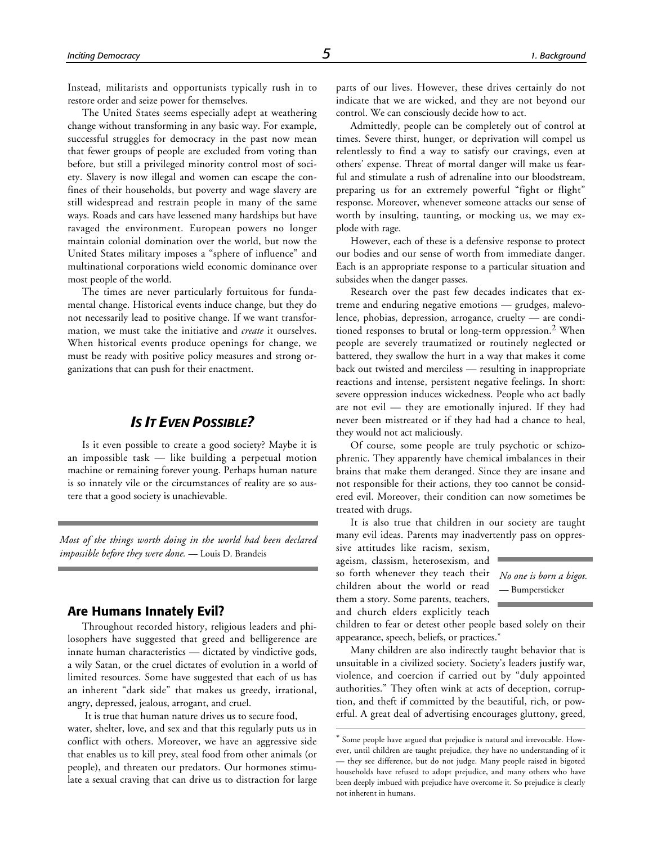Instead, militarists and opportunists typically rush in to restore order and seize power for themselves.

The United States seems especially adept at weathering change without transforming in any basic way. For example, successful struggles for democracy in the past now mean that fewer groups of people are excluded from voting than before, but still a privileged minority control most of society. Slavery is now illegal and women can escape the confines of their households, but poverty and wage slavery are still widespread and restrain people in many of the same ways. Roads and cars have lessened many hardships but have ravaged the environment. European powers no longer maintain colonial domination over the world, but now the United States military imposes a "sphere of influence" and multinational corporations wield economic dominance over most people of the world.

The times are never particularly fortuitous for fundamental change. Historical events induce change, but they do not necessarily lead to positive change. If we want transformation, we must take the initiative and *create* it ourselves. When historical events produce openings for change, we must be ready with positive policy measures and strong organizations that can push for their enactment.

#### *IS IT EVEN POSSIBLE?*

Is it even possible to create a good society? Maybe it is an impossible task — like building a perpetual motion machine or remaining forever young. Perhaps human nature is so innately vile or the circumstances of reality are so austere that a good society is unachievable.

*Most of the things worth doing in the world had been declared impossible before they were done.* — Louis D. Brandeis

#### **Are Humans Innately Evil?**

Throughout recorded history, religious leaders and philosophers have suggested that greed and belligerence are innate human characteristics — dictated by vindictive gods, a wily Satan, or the cruel dictates of evolution in a world of limited resources. Some have suggested that each of us has an inherent "dark side" that makes us greedy, irrational, angry, depressed, jealous, arrogant, and cruel.

 It is true that human nature drives us to secure food, water, shelter, love, and sex and that this regularly puts us in conflict with others. Moreover, we have an aggressive side that enables us to kill prey, steal food from other animals (or people), and threaten our predators. Our hormones stimulate a sexual craving that can drive us to distraction for large

parts of our lives. However, these drives certainly do not indicate that we are wicked, and they are not beyond our control. We can consciously decide how to act.

Admittedly, people can be completely out of control at times. Severe thirst, hunger, or deprivation will compel us relentlessly to find a way to satisfy our cravings, even at others' expense. Threat of mortal danger will make us fearful and stimulate a rush of adrenaline into our bloodstream, preparing us for an extremely powerful "fight or flight" response. Moreover, whenever someone attacks our sense of worth by insulting, taunting, or mocking us, we may explode with rage.

However, each of these is a defensive response to protect our bodies and our sense of worth from immediate danger. Each is an appropriate response to a particular situation and subsides when the danger passes.

Research over the past few decades indicates that extreme and enduring negative emotions — grudges, malevolence, phobias, depression, arrogance, cruelty — are conditioned responses to brutal or long-term oppression.2 When people are severely traumatized or routinely neglected or battered, they swallow the hurt in a way that makes it come back out twisted and merciless — resulting in inappropriate reactions and intense, persistent negative feelings. In short: severe oppression induces wickedness. People who act badly are not evil — they are emotionally injured. If they had never been mistreated or if they had had a chance to heal, they would not act maliciously.

Of course, some people are truly psychotic or schizophrenic. They apparently have chemical imbalances in their brains that make them deranged. Since they are insane and not responsible for their actions, they too cannot be considered evil. Moreover, their condition can now sometimes be treated with drugs.

It is also true that children in our society are taught many evil ideas. Parents may inadvertently pass on oppres-

sive attitudes like racism, sexism, ageism, classism, heterosexism, and so forth whenever they teach their *No one is born a bigot.* children about the world or read

them a story. Some parents, teachers, and church elders explicitly teach

 $\overline{a}$ 

— Bumpersticker

children to fear or detest other people based solely on their appearance, speech, beliefs, or practices.\*

Many children are also indirectly taught behavior that is unsuitable in a civilized society. Society's leaders justify war, violence, and coercion if carried out by "duly appointed authorities." They often wink at acts of deception, corruption, and theft if committed by the beautiful, rich, or powerful. A great deal of advertising encourages gluttony, greed,

<sup>\*</sup> Some people have argued that prejudice is natural and irrevocable. However, until children are taught prejudice, they have no understanding of it — they see difference, but do not judge. Many people raised in bigoted households have refused to adopt prejudice, and many others who have been deeply imbued with prejudice have overcome it. So prejudice is clearly not inherent in humans.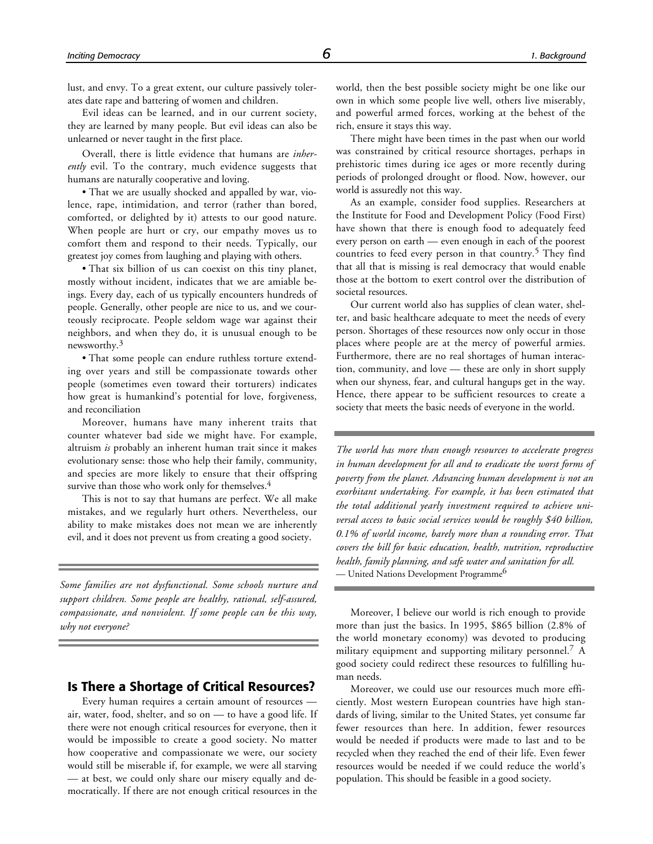lust, and envy. To a great extent, our culture passively tolerates date rape and battering of women and children.

Evil ideas can be learned, and in our current society, they are learned by many people. But evil ideas can also be unlearned or never taught in the first place.

Overall, there is little evidence that humans are *inherently* evil. To the contrary, much evidence suggests that humans are naturally cooperative and loving.

• That we are usually shocked and appalled by war, violence, rape, intimidation, and terror (rather than bored, comforted, or delighted by it) attests to our good nature. When people are hurt or cry, our empathy moves us to comfort them and respond to their needs. Typically, our greatest joy comes from laughing and playing with others.

• That six billion of us can coexist on this tiny planet, mostly without incident, indicates that we are amiable beings. Every day, each of us typically encounters hundreds of people. Generally, other people are nice to us, and we courteously reciprocate. People seldom wage war against their neighbors, and when they do, it is unusual enough to be newsworthy.<sup>3</sup>

• That some people can endure ruthless torture extending over years and still be compassionate towards other people (sometimes even toward their torturers) indicates how great is humankind's potential for love, forgiveness, and reconciliation

Moreover, humans have many inherent traits that counter whatever bad side we might have. For example, altruism *is* probably an inherent human trait since it makes evolutionary sense: those who help their family, community, and species are more likely to ensure that their offspring survive than those who work only for themselves.<sup>4</sup>

This is not to say that humans are perfect. We all make mistakes, and we regularly hurt others. Nevertheless, our ability to make mistakes does not mean we are inherently evil, and it does not prevent us from creating a good society.

*Some families are not dysfunctional. Some schools nurture and support children. Some people are healthy, rational, self-assured, compassionate, and nonviolent. If some people can be this way, why not everyone?*

#### **Is There a Shortage of Critical Resources?**

Every human requires a certain amount of resources air, water, food, shelter, and so on — to have a good life. If there were not enough critical resources for everyone, then it would be impossible to create a good society. No matter how cooperative and compassionate we were, our society would still be miserable if, for example, we were all starving — at best, we could only share our misery equally and democratically. If there are not enough critical resources in the

world, then the best possible society might be one like our own in which some people live well, others live miserably, and powerful armed forces, working at the behest of the rich, ensure it stays this way.

There might have been times in the past when our world was constrained by critical resource shortages, perhaps in prehistoric times during ice ages or more recently during periods of prolonged drought or flood. Now, however, our world is assuredly not this way.

As an example, consider food supplies. Researchers at the Institute for Food and Development Policy (Food First) have shown that there is enough food to adequately feed every person on earth — even enough in each of the poorest countries to feed every person in that country.<sup>5</sup> They find that all that is missing is real democracy that would enable those at the bottom to exert control over the distribution of societal resources.

Our current world also has supplies of clean water, shelter, and basic healthcare adequate to meet the needs of every person. Shortages of these resources now only occur in those places where people are at the mercy of powerful armies. Furthermore, there are no real shortages of human interaction, community, and love — these are only in short supply when our shyness, fear, and cultural hangups get in the way. Hence, there appear to be sufficient resources to create a society that meets the basic needs of everyone in the world.

*The world has more than enough resources to accelerate progress in human development for all and to eradicate the worst forms of poverty from the planet. Advancing human development is not an exorbitant undertaking. For example, it has been estimated that the total additional yearly investment required to achieve universal access to basic social services would be roughly \$40 billion, 0.1% of world income, barely more than a rounding error. That covers the bill for basic education, health, nutrition, reproductive health, family planning, and safe water and sanitation for all.* — United Nations Development Programme<sup>6</sup>

Moreover, I believe our world is rich enough to provide more than just the basics. In 1995, \$865 billion (2.8% of the world monetary economy) was devoted to producing military equipment and supporting military personnel.<sup>7</sup> A good society could redirect these resources to fulfilling human needs.

Moreover, we could use our resources much more efficiently. Most western European countries have high standards of living, similar to the United States, yet consume far fewer resources than here. In addition, fewer resources would be needed if products were made to last and to be recycled when they reached the end of their life. Even fewer resources would be needed if we could reduce the world's population. This should be feasible in a good society.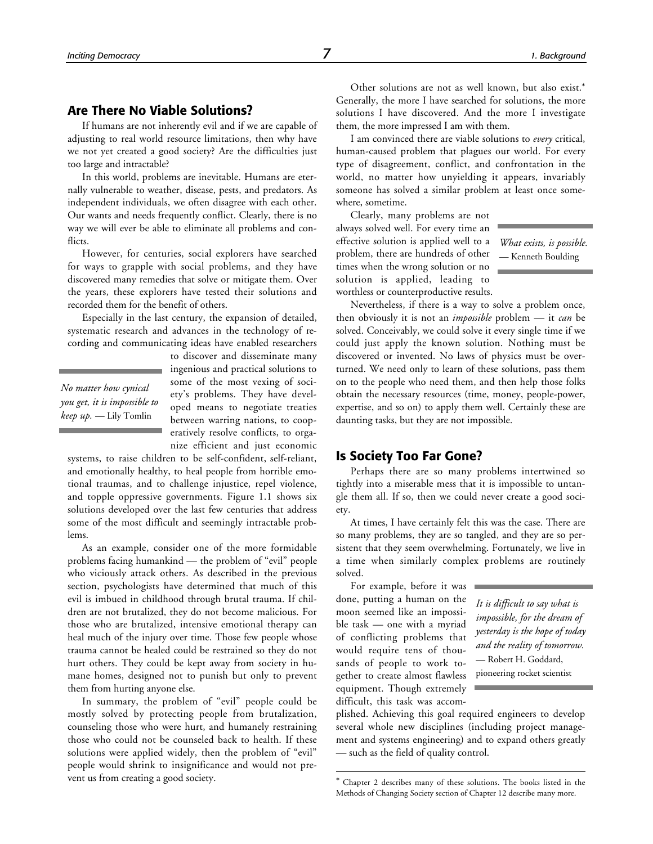#### **Are There No Viable Solutions?**

If humans are not inherently evil and if we are capable of adjusting to real world resource limitations, then why have we not yet created a good society? Are the difficulties just too large and intractable?

In this world, problems are inevitable. Humans are eternally vulnerable to weather, disease, pests, and predators. As independent individuals, we often disagree with each other. Our wants and needs frequently conflict. Clearly, there is no way we will ever be able to eliminate all problems and conflicts.

However, for centuries, social explorers have searched for ways to grapple with social problems, and they have discovered many remedies that solve or mitigate them. Over the years, these explorers have tested their solutions and recorded them for the benefit of others.

Especially in the last century, the expansion of detailed, systematic research and advances in the technology of recording and communicating ideas have enabled researchers

*No matter how cynical you get, it is impossible to keep up.* — Lily Tomlin

to discover and disseminate many ingenious and practical solutions to some of the most vexing of society's problems. They have developed means to negotiate treaties between warring nations, to cooperatively resolve conflicts, to organize efficient and just economic

systems, to raise children to be self-confident, self-reliant, and emotionally healthy, to heal people from horrible emotional traumas, and to challenge injustice, repel violence, and topple oppressive governments. Figure 1.1 shows six solutions developed over the last few centuries that address some of the most difficult and seemingly intractable problems.

As an example, consider one of the more formidable problems facing humankind — the problem of "evil" people who viciously attack others. As described in the previous section, psychologists have determined that much of this evil is imbued in childhood through brutal trauma. If children are not brutalized, they do not become malicious. For those who are brutalized, intensive emotional therapy can heal much of the injury over time. Those few people whose trauma cannot be healed could be restrained so they do not hurt others. They could be kept away from society in humane homes, designed not to punish but only to prevent them from hurting anyone else.

In summary, the problem of "evil" people could be mostly solved by protecting people from brutalization, counseling those who were hurt, and humanely restraining those who could not be counseled back to health. If these solutions were applied widely, then the problem of "evil" people would shrink to insignificance and would not prevent us from creating a good society.

Other solutions are not as well known, but also exist.\* Generally, the more I have searched for solutions, the more solutions I have discovered. And the more I investigate them, the more impressed I am with them.

I am convinced there are viable solutions to *every* critical, human-caused problem that plagues our world. For every type of disagreement, conflict, and confrontation in the world, no matter how unyielding it appears, invariably someone has solved a similar problem at least once somewhere, sometime.

Clearly, many problems are not always solved well. For every time an effective solution is applied well to a problem, there are hundreds of other times when the wrong solution or no solution is applied, leading to worthless or counterproductive results.

*What exists, is possible.* — Kenneth Boulding

Nevertheless, if there is a way to solve a problem once, then obviously it is not an *impossible* problem — it *can* be solved. Conceivably, we could solve it every single time if we could just apply the known solution. Nothing must be discovered or invented. No laws of physics must be overturned. We need only to learn of these solutions, pass them on to the people who need them, and then help those folks obtain the necessary resources (time, money, people-power, expertise, and so on) to apply them well. Certainly these are daunting tasks, but they are not impossible.

#### **Is Society Too Far Gone?**

Perhaps there are so many problems intertwined so tightly into a miserable mess that it is impossible to untangle them all. If so, then we could never create a good society.

At times, I have certainly felt this was the case. There are so many problems, they are so tangled, and they are so persistent that they seem overwhelming. Fortunately, we live in a time when similarly complex problems are routinely solved.

For example, before it was done, putting a human on the moon seemed like an impossible task — one with a myriad of conflicting problems that would require tens of thousands of people to work together to create almost flawless equipment. Though extremely difficult, this task was accom-

1

*It is difficult to say what is impossible, for the dream of yesterday is the hope of today and the reality of tomorrow.* — Robert H. Goddard, pioneering rocket scientist

plished. Achieving this goal required engineers to develop several whole new disciplines (including project management and systems engineering) and to expand others greatly — such as the field of quality control.

Chapter 2 describes many of these solutions. The books listed in the Methods of Changing Society section of Chapter 12 describe many more.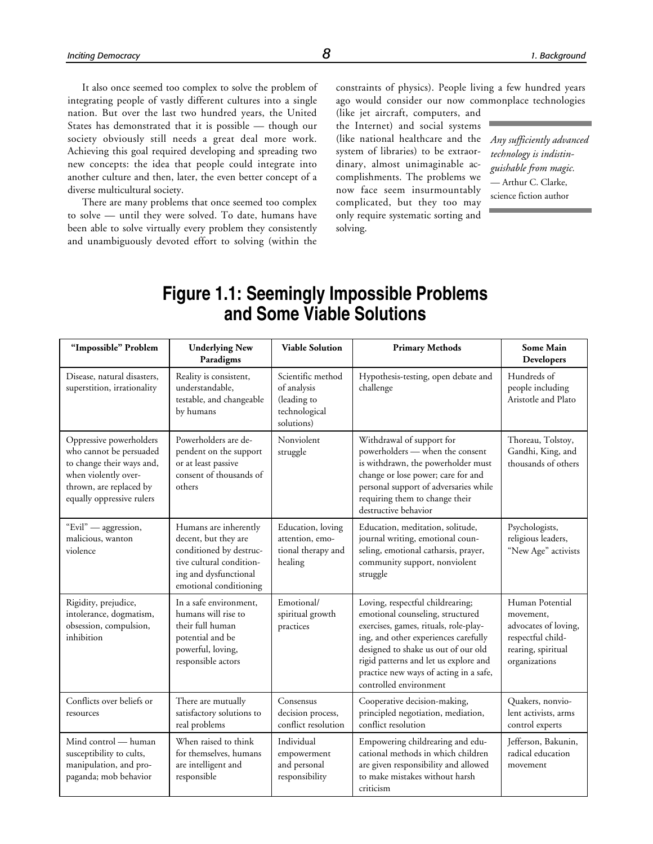It also once seemed too complex to solve the problem of integrating people of vastly different cultures into a single nation. But over the last two hundred years, the United States has demonstrated that it is possible — though our society obviously still needs a great deal more work. Achieving this goal required developing and spreading two new concepts: the idea that people could integrate into another culture and then, later, the even better concept of a diverse multicultural society.

There are many problems that once seemed too complex to solve — until they were solved. To date, humans have been able to solve virtually every problem they consistently and unambiguously devoted effort to solving (within the constraints of physics). People living a few hundred years ago would consider our now commonplace technologies

(like jet aircraft, computers, and the Internet) and social systems (like national healthcare and the system of libraries) to be extraordinary, almost unimaginable accomplishments. The problems we now face seem insurmountably complicated, but they too may only require systematic sorting and solving.

*Any sufficiently advanced technology is indistinguishable from magic.* — Arthur C. Clarke, science fiction author

### **Figure 1.1: Seemingly Impossible Problems and Some Viable Solutions**

| "Impossible" Problem                                                                                                                                            | <b>Underlying New</b><br>Paradigms                                                                                                                      | <b>Viable Solution</b>                                                         | <b>Primary Methods</b>                                                                                                                                                                                                                                                                                    | <b>Some Main</b><br>Developers                                                                                   |
|-----------------------------------------------------------------------------------------------------------------------------------------------------------------|---------------------------------------------------------------------------------------------------------------------------------------------------------|--------------------------------------------------------------------------------|-----------------------------------------------------------------------------------------------------------------------------------------------------------------------------------------------------------------------------------------------------------------------------------------------------------|------------------------------------------------------------------------------------------------------------------|
| Disease, natural disasters.<br>superstition, irrationality                                                                                                      | Reality is consistent,<br>understandable.<br>testable, and changeable<br>by humans                                                                      | Scientific method<br>of analysis<br>(leading to<br>technological<br>solutions) | Hypothesis-testing, open debate and<br>challenge                                                                                                                                                                                                                                                          | Hundreds of<br>people including<br>Aristotle and Plato                                                           |
| Oppressive powerholders<br>who cannot be persuaded<br>to change their ways and,<br>when violently over-<br>thrown, are replaced by<br>equally oppressive rulers | Powerholders are de-<br>pendent on the support<br>or at least passive<br>consent of thousands of<br>others                                              | Nonviolent<br>struggle                                                         | Withdrawal of support for<br>powerholders - when the consent<br>is withdrawn, the powerholder must<br>change or lose power; care for and<br>personal support of adversaries while<br>requiring them to change their<br>destructive behavior                                                               | Thoreau, Tolstoy,<br>Gandhi, King, and<br>thousands of others                                                    |
| "Evil" — aggression,<br>malicious, wanton<br>violence                                                                                                           | Humans are inherently<br>decent, but they are<br>conditioned by destruc-<br>tive cultural condition-<br>ing and dysfunctional<br>emotional conditioning | Education, loving<br>attention, emo-<br>tional therapy and<br>healing          | Education, meditation, solitude,<br>journal writing, emotional coun-<br>seling, emotional catharsis, prayer,<br>community support, nonviolent<br>struggle                                                                                                                                                 | Psychologists,<br>religious leaders,<br>"New Age" activists                                                      |
| Rigidity, prejudice,<br>intolerance, dogmatism,<br>obsession, compulsion,<br>inhibition                                                                         | In a safe environment.<br>humans will rise to<br>their full human<br>potential and be<br>powerful, loving,<br>responsible actors                        | Emotional/<br>spiritual growth<br>practices                                    | Loving, respectful childrearing;<br>emotional counseling, structured<br>exercises, games, rituals, role-play-<br>ing, and other experiences carefully<br>designed to shake us out of our old<br>rigid patterns and let us explore and<br>practice new ways of acting in a safe,<br>controlled environment | Human Potential<br>movement,<br>advocates of loving,<br>respectful child-<br>rearing, spiritual<br>organizations |
| Conflicts over beliefs or<br>resources                                                                                                                          | There are mutually<br>satisfactory solutions to<br>real problems                                                                                        | Consensus<br>decision process,<br>conflict resolution                          | Cooperative decision-making,<br>principled negotiation, mediation,<br>conflict resolution                                                                                                                                                                                                                 | Quakers, nonvio-<br>lent activists, arms<br>control experts                                                      |
| Mind control - human<br>susceptibility to cults,<br>manipulation, and pro-<br>paganda; mob behavior                                                             | When raised to think<br>for themselves, humans<br>are intelligent and<br>responsible                                                                    | Individual<br>empowerment<br>and personal<br>responsibility                    | Empowering childrearing and edu-<br>cational methods in which children<br>are given responsibility and allowed<br>to make mistakes without harsh<br>criticism                                                                                                                                             | Jefferson, Bakunin,<br>radical education<br>movement                                                             |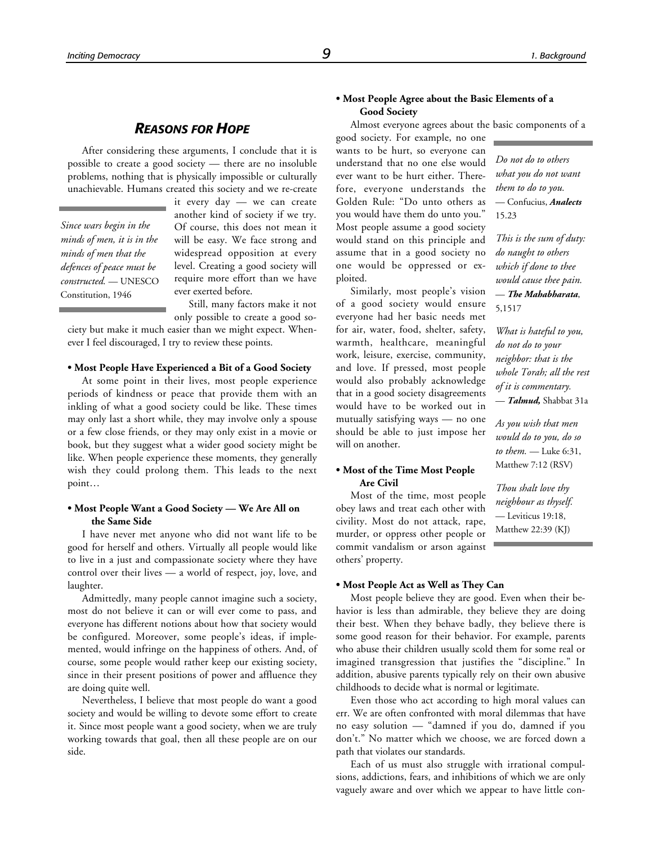#### *REASONS FOR HOPE*

After considering these arguments, I conclude that it is possible to create a good society — there are no insoluble problems, nothing that is physically impossible or culturally unachievable. Humans created this society and we re-create

*Since wars begin in the minds of men, it is in the minds of men that the defences of peace must be constructed.* — UNESCO Constitution, 1946

it every day — we can create another kind of society if we try. Of course, this does not mean it will be easy. We face strong and widespread opposition at every level. Creating a good society will require more effort than we have ever exerted before.

Still, many factors make it not

only possible to create a good society but make it much easier than we might expect. Whenever I feel discouraged, I try to review these points.

#### **• Most People Have Experienced a Bit of a Good Society**

At some point in their lives, most people experience periods of kindness or peace that provide them with an inkling of what a good society could be like. These times may only last a short while, they may involve only a spouse or a few close friends, or they may only exist in a movie or book, but they suggest what a wider good society might be like. When people experience these moments, they generally wish they could prolong them. This leads to the next point…

#### **• Most People Want a Good Society — We Are All on the Same Side**

I have never met anyone who did not want life to be good for herself and others. Virtually all people would like to live in a just and compassionate society where they have control over their lives — a world of respect, joy, love, and laughter.

Admittedly, many people cannot imagine such a society, most do not believe it can or will ever come to pass, and everyone has different notions about how that society would be configured. Moreover, some people's ideas, if implemented, would infringe on the happiness of others. And, of course, some people would rather keep our existing society, since in their present positions of power and affluence they are doing quite well.

Nevertheless, I believe that most people do want a good society and would be willing to devote some effort to create it. Since most people want a good society, when we are truly working towards that goal, then all these people are on our side.

#### **• Most People Agree about the Basic Elements of a Good Society**

Almost everyone agrees about the basic components of a

good society. For example, no one wants to be hurt, so everyone can understand that no one else would ever want to be hurt either. Therefore, everyone understands the Golden Rule: "Do unto others as you would have them do unto you." Most people assume a good society would stand on this principle and assume that in a good society no one would be oppressed or exploited.

Similarly, most people's vision of a good society would ensure everyone had her basic needs met for air, water, food, shelter, safety, warmth, healthcare, meaningful work, leisure, exercise, community, and love. If pressed, most people would also probably acknowledge that in a good society disagreements would have to be worked out in mutually satisfying ways — no one should be able to just impose her will on another.

#### **• Most of the Time Most People Are Civil**

Most of the time, most people obey laws and treat each other with civility. Most do not attack, rape, murder, or oppress other people or commit vandalism or arson against others' property.

#### **• Most People Act as Well as They Can**

Most people believe they are good. Even when their behavior is less than admirable, they believe they are doing their best. When they behave badly, they believe there is some good reason for their behavior. For example, parents who abuse their children usually scold them for some real or imagined transgression that justifies the "discipline." In addition, abusive parents typically rely on their own abusive childhoods to decide what is normal or legitimate.

Even those who act according to high moral values can err. We are often confronted with moral dilemmas that have no easy solution — "damned if you do, damned if you don't." No matter which we choose, we are forced down a path that violates our standards.

Each of us must also struggle with irrational compulsions, addictions, fears, and inhibitions of which we are only vaguely aware and over which we appear to have little con-

*Do not do to others what you do not want them to do to you.* — Confucius, *Analects* 15.23

*This is the sum of duty: do naught to others which if done to thee would cause thee pain.* — *The Mahabharata*, 5,1517

*What is hateful to you, do not do to your neighbor: that is the whole Torah; all the rest of it is commentary.* — *Talmud,* Shabbat 31a

*As you wish that men would do to you, do so to them.* — Luke 6:31, Matthew 7:12 (RSV)

*Thou shalt love thy neighbour as thyself.* — Leviticus 19:18, Matthew 22:39 (KJ)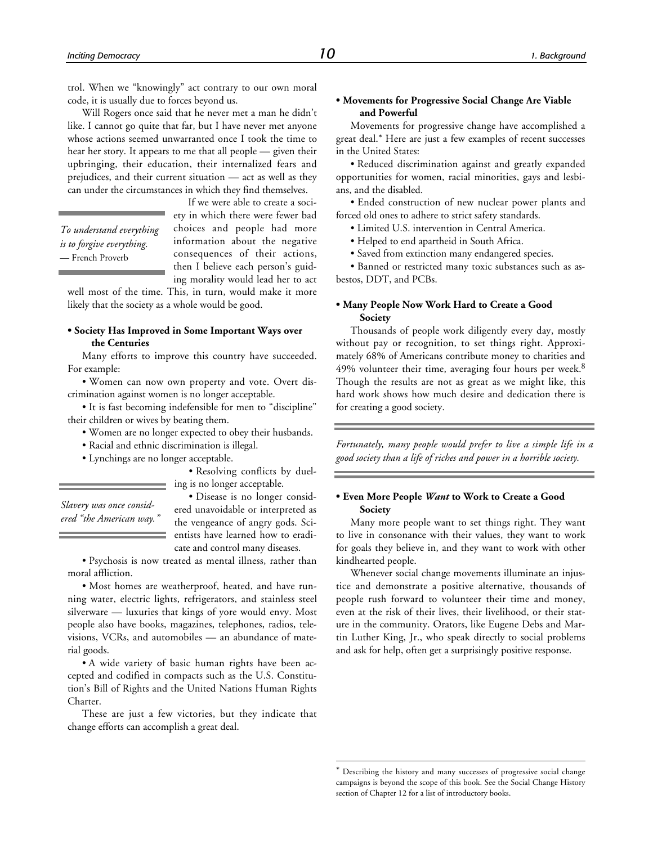trol. When we "knowingly" act contrary to our own moral code, it is usually due to forces beyond us.

Will Rogers once said that he never met a man he didn't like. I cannot go quite that far, but I have never met anyone whose actions seemed unwarranted once I took the time to hear her story. It appears to me that all people — given their upbringing, their education, their internalized fears and prejudices, and their current situation — act as well as they can under the circumstances in which they find themselves.

*To understand everything is to forgive everything.* — French Proverb

If we were able to create a society in which there were fewer bad choices and people had more information about the negative consequences of their actions, then I believe each person's guiding morality would lead her to act

well most of the time. This, in turn, would make it more likely that the society as a whole would be good.

#### **• Society Has Improved in Some Important Ways over the Centuries**

Many efforts to improve this country have succeeded. For example:

• Women can now own property and vote. Overt discrimination against women is no longer acceptable.

• It is fast becoming indefensible for men to "discipline" their children or wives by beating them.

- Women are no longer expected to obey their husbands.
- Racial and ethnic discrimination is illegal.
- Lynchings are no longer acceptable.

• Resolving conflicts by dueling is no longer acceptable.

*Slavery was once considered "the American way."*

• Disease is no longer considered unavoidable or interpreted as the vengeance of angry gods. Scientists have learned how to eradicate and control many diseases.

• Psychosis is now treated as mental illness, rather than moral affliction.

• Most homes are weatherproof, heated, and have running water, electric lights, refrigerators, and stainless steel silverware — luxuries that kings of yore would envy. Most people also have books, magazines, telephones, radios, televisions, VCRs, and automobiles — an abundance of material goods.

• A wide variety of basic human rights have been accepted and codified in compacts such as the U.S. Constitution's Bill of Rights and the United Nations Human Rights Charter.

These are just a few victories, but they indicate that change efforts can accomplish a great deal.

#### **• Movements for Progressive Social Change Are Viable and Powerful**

Movements for progressive change have accomplished a great deal.\* Here are just a few examples of recent successes in the United States:

• Reduced discrimination against and greatly expanded opportunities for women, racial minorities, gays and lesbians, and the disabled.

• Ended construction of new nuclear power plants and forced old ones to adhere to strict safety standards.

- Limited U.S. intervention in Central America.
- Helped to end apartheid in South Africa.
- Saved from extinction many endangered species.

• Banned or restricted many toxic substances such as asbestos, DDT, and PCBs.

#### **• Many People Now Work Hard to Create a Good Society**

Thousands of people work diligently every day, mostly without pay or recognition, to set things right. Approximately 68% of Americans contribute money to charities and 49% volunteer their time, averaging four hours per week. $8$ Though the results are not as great as we might like, this hard work shows how much desire and dedication there is for creating a good society.

*Fortunately, many people would prefer to live a simple life in a good society than a life of riches and power in a horrible society.*

#### **• Even More People** *Want* **to Work to Create a Good Society**

Many more people want to set things right. They want to live in consonance with their values, they want to work for goals they believe in, and they want to work with other kindhearted people.

Whenever social change movements illuminate an injustice and demonstrate a positive alternative, thousands of people rush forward to volunteer their time and money, even at the risk of their lives, their livelihood, or their stature in the community. Orators, like Eugene Debs and Martin Luther King, Jr., who speak directly to social problems and ask for help, often get a surprisingly positive response.

 $\overline{a}$ 

Describing the history and many successes of progressive social change campaigns is beyond the scope of this book. See the Social Change History section of Chapter 12 for a list of introductory books.